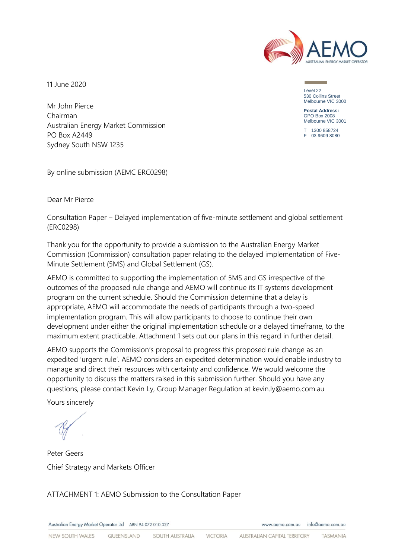

11 June 2020

Level 22 530 Collins Street Melbourne VIC 3000

**Postal Address:** GPO Box 2008 Melbourne VIC 3001

 $1300 858724$ F 03 9609 8080

Mr John Pierce Chairman Australian Energy Market Commission PO Box A2449 Sydney South NSW 1235

By online submission (AEMC ERC0298)

Dear Mr Pierce

Consultation Paper – Delayed implementation of five-minute settlement and global settlement (ERC0298)

Thank you for the opportunity to provide a submission to the Australian Energy Market Commission (Commission) consultation paper relating to the delayed implementation of Five-Minute Settlement (5MS) and Global Settlement (GS).

AEMO is committed to supporting the implementation of 5MS and GS irrespective of the outcomes of the proposed rule change and AEMO will continue its IT systems development program on the current schedule. Should the Commission determine that a delay is appropriate, AEMO will accommodate the needs of participants through a two-speed implementation program. This will allow participants to choose to continue their own development under either the original implementation schedule or a delayed timeframe, to the maximum extent practicable. Attachment 1 sets out our plans in this regard in further detail.

AEMO supports the Commission's proposal to progress this proposed rule change as an expedited 'urgent rule'. AEMO considers an expedited determination would enable industry to manage and direct their resources with certainty and confidence. We would welcome the opportunity to discuss the matters raised in this submission further. Should you have any questions, please contact Kevin Ly, Group Manager Regulation at kevin.ly@aemo.com.au

Yours sincerely

Peter Geers Chief Strategy and Markets Officer

ATTACHMENT 1: AEMO Submission to the Consultation Paper

Australian Energy Market Operator Ltd ABN 94 072 010 327

www.gemo.com.gu info@gemo.com.gu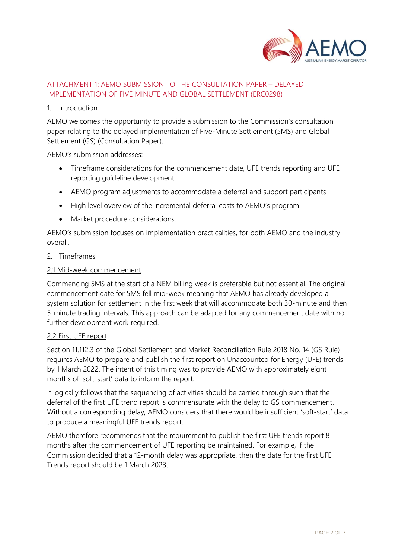

# ATTACHMENT 1: AEMO SUBMISSION TO THE CONSULTATION PAPER – DELAYED IMPLEMENTATION OF FIVE MINUTE AND GLOBAL SETTLEMENT (ERC0298)

#### 1. Introduction

AEMO welcomes the opportunity to provide a submission to the Commission's consultation paper relating to the delayed implementation of Five-Minute Settlement (5MS) and Global Settlement (GS) (Consultation Paper).

AEMO's submission addresses:

- Timeframe considerations for the commencement date, UFE trends reporting and UFE reporting guideline development
- AEMO program adjustments to accommodate a deferral and support participants
- High level overview of the incremental deferral costs to AEMO's program
- Market procedure considerations.

AEMO's submission focuses on implementation practicalities, for both AEMO and the industry overall.

#### 2. Timeframes

#### 2.1 Mid-week commencement

Commencing 5MS at the start of a NEM billing week is preferable but not essential. The original commencement date for 5MS fell mid-week meaning that AEMO has already developed a system solution for settlement in the first week that will accommodate both 30-minute and then 5-minute trading intervals. This approach can be adapted for any commencement date with no further development work required.

#### 2.2 First UFE report

Section 11.112.3 of the Global Settlement and Market Reconciliation Rule 2018 No. 14 (GS Rule) requires AEMO to prepare and publish the first report on Unaccounted for Energy (UFE) trends by 1 March 2022. The intent of this timing was to provide AEMO with approximately eight months of 'soft-start' data to inform the report.

It logically follows that the sequencing of activities should be carried through such that the deferral of the first UFE trend report is commensurate with the delay to GS commencement. Without a corresponding delay, AEMO considers that there would be insufficient 'soft-start' data to produce a meaningful UFE trends report.

AEMO therefore recommends that the requirement to publish the first UFE trends report 8 months after the commencement of UFE reporting be maintained. For example, if the Commission decided that a 12-month delay was appropriate, then the date for the first UFE Trends report should be 1 March 2023.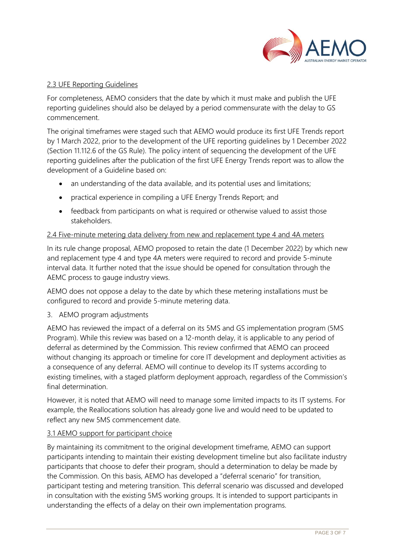

### 2.3 UFE Reporting Guidelines

For completeness, AEMO considers that the date by which it must make and publish the UFE reporting guidelines should also be delayed by a period commensurate with the delay to GS commencement.

The original timeframes were staged such that AEMO would produce its first UFE Trends report by 1 March 2022, prior to the development of the UFE reporting guidelines by 1 December 2022 (Section 11.112.6 of the GS Rule). The policy intent of sequencing the development of the UFE reporting guidelines after the publication of the first UFE Energy Trends report was to allow the development of a Guideline based on:

- an understanding of the data available, and its potential uses and limitations;
- practical experience in compiling a UFE Energy Trends Report; and
- feedback from participants on what is required or otherwise valued to assist those stakeholders.

#### 2.4 Five-minute metering data delivery from new and replacement type 4 and 4A meters

In its rule change proposal, AEMO proposed to retain the date (1 December 2022) by which new and replacement type 4 and type 4A meters were required to record and provide 5-minute interval data. It further noted that the issue should be opened for consultation through the AEMC process to gauge industry views.

AEMO does not oppose a delay to the date by which these metering installations must be configured to record and provide 5-minute metering data.

#### 3. AEMO program adjustments

AEMO has reviewed the impact of a deferral on its 5MS and GS implementation program (5MS Program). While this review was based on a 12-month delay, it is applicable to any period of deferral as determined by the Commission. This review confirmed that AEMO can proceed without changing its approach or timeline for core IT development and deployment activities as a consequence of any deferral. AEMO will continue to develop its IT systems according to existing timelines, with a staged platform deployment approach, regardless of the Commission's final determination.

However, it is noted that AEMO will need to manage some limited impacts to its IT systems. For example, the Reallocations solution has already gone live and would need to be updated to reflect any new 5MS commencement date.

# 3.1 AEMO support for participant choice

By maintaining its commitment to the original development timeframe, AEMO can support participants intending to maintain their existing development timeline but also facilitate industry participants that choose to defer their program, should a determination to delay be made by the Commission. On this basis, AEMO has developed a "deferral scenario" for transition, participant testing and metering transition. This deferral scenario was discussed and developed in consultation with the existing 5MS working groups. It is intended to support participants in understanding the effects of a delay on their own implementation programs.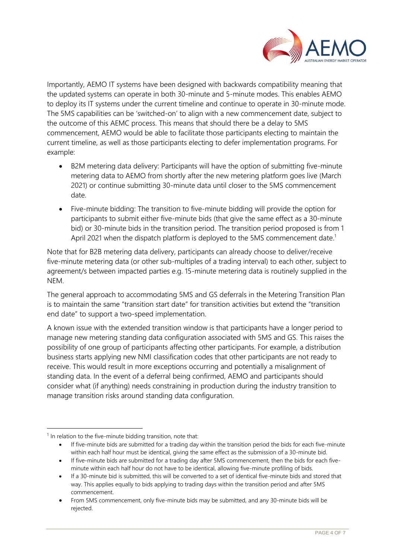

Importantly, AEMO IT systems have been designed with backwards compatibility meaning that the updated systems can operate in both 30-minute and 5-minute modes. This enables AEMO to deploy its IT systems under the current timeline and continue to operate in 30-minute mode. The 5MS capabilities can be 'switched-on' to align with a new commencement date, subject to the outcome of this AEMC process. This means that should there be a delay to 5MS commencement, AEMO would be able to facilitate those participants electing to maintain the current timeline, as well as those participants electing to defer implementation programs. For example:

- B2M metering data delivery: Participants will have the option of submitting five-minute metering data to AEMO from shortly after the new metering platform goes live (March 2021) or continue submitting 30-minute data until closer to the 5MS commencement date.
- Five-minute bidding: The transition to five-minute bidding will provide the option for participants to submit either five-minute bids (that give the same effect as a 30-minute bid) or 30-minute bids in the transition period. The transition period proposed is from 1 April 2021 when the dispatch platform is deployed to the 5MS commencement date.<sup>1</sup>

Note that for B2B metering data delivery, participants can already choose to deliver/receive five-minute metering data (or other sub-multiples of a trading interval) to each other, subject to agreement/s between impacted parties e.g. 15-minute metering data is routinely supplied in the NEM.

The general approach to accommodating 5MS and GS deferrals in the Metering Transition Plan is to maintain the same "transition start date" for transition activities but extend the "transition end date" to support a two-speed implementation.

A known issue with the extended transition window is that participants have a longer period to manage new metering standing data configuration associated with 5MS and GS. This raises the possibility of one group of participants affecting other participants. For example, a distribution business starts applying new NMI classification codes that other participants are not ready to receive. This would result in more exceptions occurring and potentially a misalignment of standing data. In the event of a deferral being confirmed, AEMO and participants should consider what (if anything) needs constraining in production during the industry transition to manage transition risks around standing data configuration.

 $1$  In relation to the five-minute bidding transition, note that:

<sup>•</sup> If five-minute bids are submitted for a trading day within the transition period the bids for each five-minute within each half hour must be identical, giving the same effect as the submission of a 30-minute bid.

<sup>•</sup> If five-minute bids are submitted for a trading day after 5MS commencement, then the bids for each fiveminute within each half hour do not have to be identical, allowing five-minute profiling of bids.

<sup>•</sup> If a 30-minute bid is submitted, this will be converted to a set of identical five-minute bids and stored that way. This applies equally to bids applying to trading days within the transition period and after 5MS commencement.

<sup>•</sup> From 5MS commencement, only five-minute bids may be submitted, and any 30-minute bids will be rejected.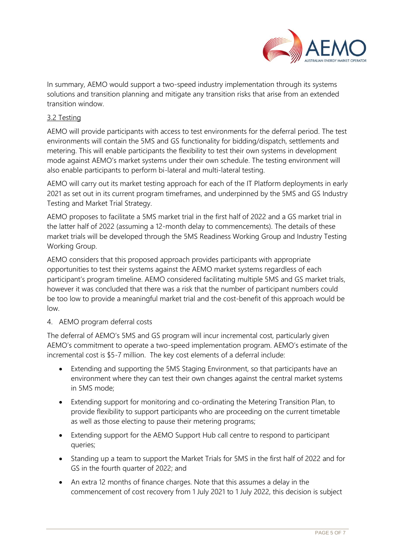

In summary, AEMO would support a two-speed industry implementation through its systems solutions and transition planning and mitigate any transition risks that arise from an extended transition window.

### 3.2 Testing

AEMO will provide participants with access to test environments for the deferral period. The test environments will contain the 5MS and GS functionality for bidding/dispatch, settlements and metering. This will enable participants the flexibility to test their own systems in development mode against AEMO's market systems under their own schedule. The testing environment will also enable participants to perform bi-lateral and multi-lateral testing.

AEMO will carry out its market testing approach for each of the IT Platform deployments in early 2021 as set out in its current program timeframes, and underpinned by the 5MS and GS Industry Testing and Market Trial Strategy.

AEMO proposes to facilitate a 5MS market trial in the first half of 2022 and a GS market trial in the latter half of 2022 (assuming a 12-month delay to commencements). The details of these market trials will be developed through the 5MS Readiness Working Group and Industry Testing Working Group.

AEMO considers that this proposed approach provides participants with appropriate opportunities to test their systems against the AEMO market systems regardless of each participant's program timeline. AEMO considered facilitating multiple 5MS and GS market trials, however it was concluded that there was a risk that the number of participant numbers could be too low to provide a meaningful market trial and the cost-benefit of this approach would be low.

#### 4. AEMO program deferral costs

The deferral of AEMO's 5MS and GS program will incur incremental cost, particularly given AEMO's commitment to operate a two-speed implementation program. AEMO's estimate of the incremental cost is \$5-7 million. The key cost elements of a deferral include:

- Extending and supporting the 5MS Staging Environment, so that participants have an environment where they can test their own changes against the central market systems in 5MS mode;
- Extending support for monitoring and co-ordinating the Metering Transition Plan, to provide flexibility to support participants who are proceeding on the current timetable as well as those electing to pause their metering programs;
- Extending support for the AEMO Support Hub call centre to respond to participant queries;
- Standing up a team to support the Market Trials for 5MS in the first half of 2022 and for GS in the fourth quarter of 2022; and
- An extra 12 months of finance charges. Note that this assumes a delay in the commencement of cost recovery from 1 July 2021 to 1 July 2022, this decision is subject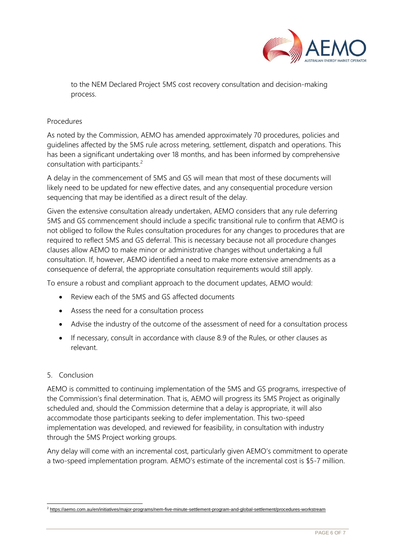

to the NEM Declared Project 5MS cost recovery consultation and decision-making process.

### Procedures

As noted by the Commission, AEMO has amended approximately 70 procedures, policies and guidelines affected by the 5MS rule across metering, settlement, dispatch and operations. This has been a significant undertaking over 18 months, and has been informed by comprehensive consultation with participants. 2

A delay in the commencement of 5MS and GS will mean that most of these documents will likely need to be updated for new effective dates, and any consequential procedure version sequencing that may be identified as a direct result of the delay.

Given the extensive consultation already undertaken, AEMO considers that any rule deferring 5MS and GS commencement should include a specific transitional rule to confirm that AEMO is not obliged to follow the Rules consultation procedures for any changes to procedures that are required to reflect 5MS and GS deferral. This is necessary because not all procedure changes clauses allow AEMO to make minor or administrative changes without undertaking a full consultation. If, however, AEMO identified a need to make more extensive amendments as a consequence of deferral, the appropriate consultation requirements would still apply.

To ensure a robust and compliant approach to the document updates, AEMO would:

- Review each of the 5MS and GS affected documents
- Assess the need for a consultation process
- Advise the industry of the outcome of the assessment of need for a consultation process
- If necessary, consult in accordance with clause 8.9 of the Rules, or other clauses as relevant.

#### 5. Conclusion

AEMO is committed to continuing implementation of the 5MS and GS programs, irrespective of the Commission's final determination. That is, AEMO will progress its 5MS Project as originally scheduled and, should the Commission determine that a delay is appropriate, it will also accommodate those participants seeking to defer implementation. This two-speed implementation was developed, and reviewed for feasibility, in consultation with industry through the 5MS Project working groups.

Any delay will come with an incremental cost, particularly given AEMO's commitment to operate a two-speed implementation program. AEMO's estimate of the incremental cost is \$5-7 million.

<sup>2</sup> <https://aemo.com.au/en/initiatives/major-programs/nem-five-minute-settlement-program-and-global-settlement/procedures-workstream>